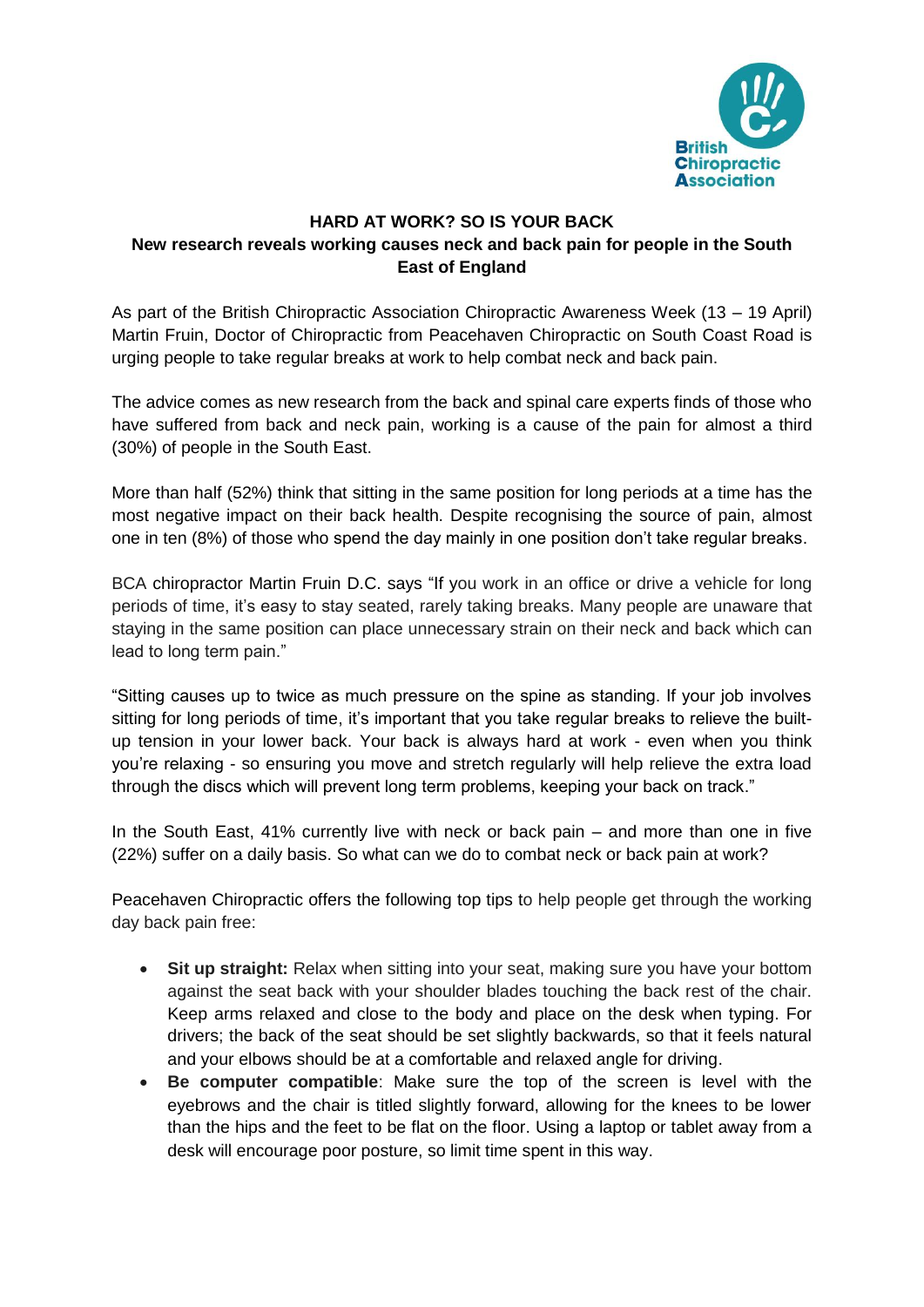

## **HARD AT WORK? SO IS YOUR BACK New research reveals working causes neck and back pain for people in the South East of England**

As part of the British Chiropractic Association Chiropractic Awareness Week (13 – 19 April) Martin Fruin, Doctor of Chiropractic from Peacehaven Chiropractic on South Coast Road is urging people to take regular breaks at work to help combat neck and back pain.

The advice comes as new research from the back and spinal care experts finds of those who have suffered from back and neck pain, working is a cause of the pain for almost a third (30%) of people in the South East.

More than half (52%) think that sitting in the same position for long periods at a time has the most negative impact on their back health. Despite recognising the source of pain, almost one in ten (8%) of those who spend the day mainly in one position don't take regular breaks.

BCA chiropractor Martin Fruin D.C. says "If you work in an office or drive a vehicle for long periods of time, it's easy to stay seated, rarely taking breaks. Many people are unaware that staying in the same position can place unnecessary strain on their neck and back which can lead to long term pain."

"Sitting causes up to twice as much pressure on the spine as standing. If your job involves sitting for long periods of time, it's important that you take regular breaks to relieve the builtup tension in your lower back. Your back is always hard at work - even when you think you're relaxing - so ensuring you move and stretch regularly will help relieve the extra load through the discs which will prevent long term problems, keeping your back on track."

In the South East, 41% currently live with neck or back pain – and more than one in five (22%) suffer on a daily basis. So what can we do to combat neck or back pain at work?

Peacehaven Chiropractic offers the following top tips to help people get through the working day back pain free:

- **Sit up straight:** Relax when sitting into your seat, making sure you have your bottom against the seat back with your shoulder blades touching the back rest of the chair. Keep arms relaxed and close to the body and place on the desk when typing. For drivers; the back of the seat should be set slightly backwards, so that it feels natural and your elbows should be at a comfortable and relaxed angle for driving.
- **Be computer compatible**: Make sure the top of the screen is level with the eyebrows and the chair is titled slightly forward, allowing for the knees to be lower than the hips and the feet to be flat on the floor. Using a laptop or tablet away from a desk will encourage poor posture, so limit time spent in this way.